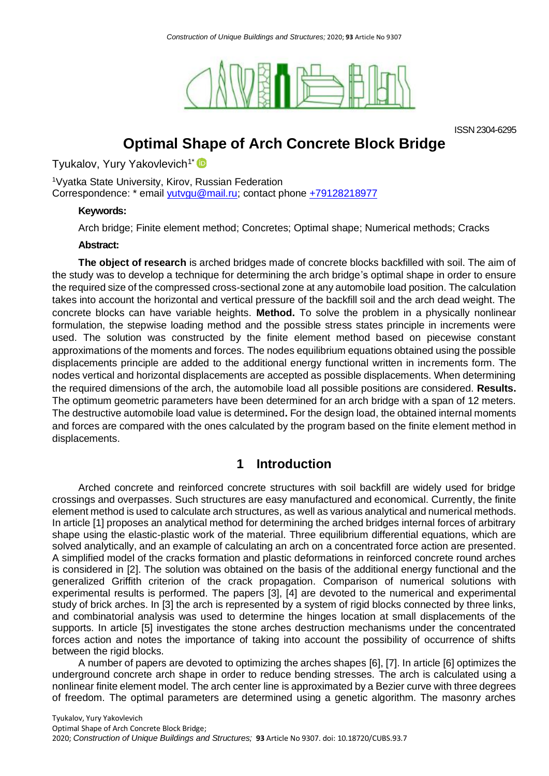

ISSN 2304-6295

# **Optimal Shape of Arch Concrete Block Bridge**

Tyukalov, Yury Yakovlevich<sup>1\*</sup>

<sup>1</sup>Vyatka State University, Kirov, Russian Federation Correspondence: \* email [yutvgu@mail.ru;](mailto:yutvgu@mail.ru) contact phone +79128218977

## **Keywords:**

Arch bridge; Finite element method; Concretes; Optimal shape; Numerical methods; Cracks

### **Abstract:**

**The object of research** is arched bridges made of concrete blocks backfilled with soil. The aim of the study was to develop a technique for determining the arch bridge's optimal shape in order to ensure the required size of the compressed cross-sectional zone at any automobile load position. The calculation takes into account the horizontal and vertical pressure of the backfill soil and the arch dead weight. The concrete blocks can have variable heights. **Method.** To solve the problem in a physically nonlinear formulation, the stepwise loading method and the possible stress states principle in increments were used. The solution was constructed by the finite element method based on piecewise constant approximations of the moments and forces. The nodes equilibrium equations obtained using the possible displacements principle are added to the additional energy functional written in increments form. The nodes vertical and horizontal displacements are accepted as possible displacements. When determining the required dimensions of the arch, the automobile load all possible positions are considered. **Results.**  The optimum geometric parameters have been determined for an arch bridge with a span of 12 meters. The destructive automobile load value is determined**.** For the design load, the obtained internal moments and forces are compared with the ones calculated by the program based on the finite element method in displacements.

# **1 Introduction**

Arched concrete and reinforced concrete structures with soil backfill are widely used for bridge crossings and overpasses. Such structures are easy manufactured and economical. Currently, the finite element method is used to calculate arch structures, as well as various analytical and numerical methods. In article [1] proposes an analytical method for determining the arched bridges internal forces of arbitrary shape using the elastic-plastic work of the material. Three equilibrium differential equations, which are solved analytically, and an example of calculating an arch on a concentrated force action are presented. A simplified model of the cracks formation and plastic deformations in reinforced concrete round arches is considered in [2]. The solution was obtained on the basis of the additional energy functional and the generalized Griffith criterion of the crack propagation. Comparison of numerical solutions with experimental results is performed. The papers [3], [4] are devoted to the numerical and experimental study of brick arches. In [3] the arch is represented by a system of rigid blocks connected by three links, and combinatorial analysis was used to determine the hinges location at small displacements of the supports. In article [5] investigates the stone arches destruction mechanisms under the concentrated forces action and notes the importance of taking into account the possibility of occurrence of shifts between the rigid blocks.

A number of papers are devoted to optimizing the arches shapes [6], [7]. In article [6] optimizes the underground concrete arch shape in order to reduce bending stresses. The arch is calculated using a nonlinear finite element model. The arch center line is approximated by a Bezier curve with three degrees of freedom. The optimal parameters are determined using a genetic algorithm. The masonry arches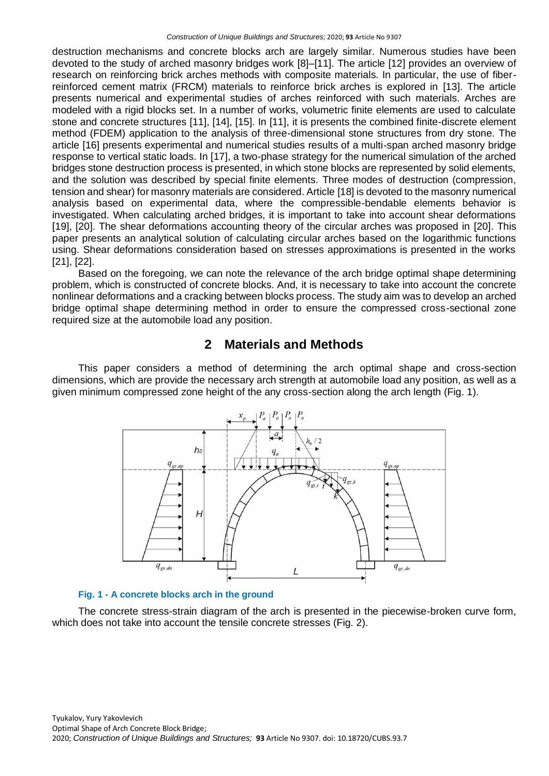destruction mechanisms and concrete blocks arch are largely similar. Numerous studies have been devoted to the study of arched masonry bridges work [8]–[11]. The article [12] provides an overview of research on reinforcing brick arches methods with composite materials. In particular, the use of fiberreinforced cement matrix (FRCM) materials to reinforce brick arches is explored in [13]. The article presents numerical and experimental studies of arches reinforced with such materials. Arches are modeled with a rigid blocks set. In a number of works, volumetric finite elements are used to calculate stone and concrete structures [11], [14], [15]. In [11], it is presents the combined finite-discrete element method (FDEM) application to the analysis of three-dimensional stone structures from dry stone. The article [16] presents experimental and numerical studies results of a multi-span arched masonry bridge response to vertical static loads. In [17], a two-phase strategy for the numerical simulation of the arched bridges stone destruction process is presented, in which stone blocks are represented by solid elements, and the solution was described by special finite elements. Three modes of destruction (compression, tension and shear) for masonry materials are considered. Article [18] is devoted to the masonry numerical analysis based on experimental data, where the compressible-bendable elements behavior is investigated. When calculating arched bridges, it is important to take into account shear deformations [19], [20]. The shear deformations accounting theory of the circular arches was proposed in [20]. This paper presents an analytical solution of calculating circular arches based on the logarithmic functions using. Shear deformations consideration based on stresses approximations is presented in the works [21], [22].

Based on the foregoing, we can note the relevance of the arch bridge optimal shape determining problem, which is constructed of concrete blocks. And, it is necessary to take into account the concrete nonlinear deformations and a cracking between blocks process. The study aim was to develop an arched bridge optimal shape determining method in order to ensure the compressed cross-sectional zone required size at the automobile load any position.

# **2 Materials and Methods**

This paper considers a method of determining the arch optimal shape and cross-section dimensions, which are provide the necessary arch strength at automobile load any position, as well as a given minimum compressed zone height of the any cross-section along the arch length (Fig. 1).



### **Fig. 1 - A concrete blocks arch in the ground**

The concrete stress-strain diagram of the arch is presented in the piecewise-broken curve form, which does not take into account the tensile concrete stresses (Fig. 2).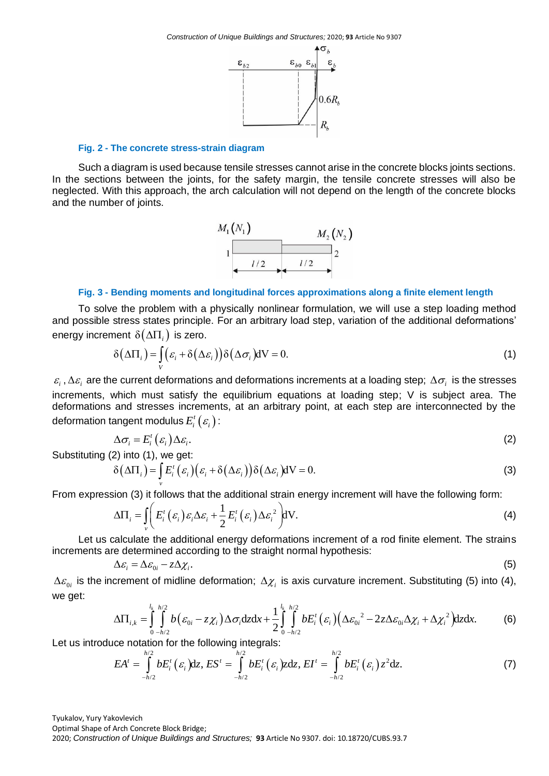

### **Fig. 2 - The concrete stress-strain diagram**

Such a diagram is used because tensile stresses cannot arise in the concrete blocks joints sections. In the sections between the joints, for the safety margin, the tensile concrete stresses will also be neglected. With this approach, the arch calculation will not depend on the length of the concrete blocks and the number of joints.



#### **Fig. 3 - Bending moments and longitudinal forces approximations along a finite element length**

To solve the problem with a physically nonlinear formulation, we will use a step loading method and possible stress states principle. For an arbitrary load step, variation of the additional deformations'

energy increment 
$$
\delta(\Delta\Pi_i)
$$
 is zero.  
\n
$$
\delta(\Delta\Pi_i) = \int\limits_V (\varepsilon_i + \delta(\Delta\varepsilon_i)) \delta(\Delta\sigma_i) dV = 0.
$$
\n(1)

 $\varepsilon_i$ ,  $\Delta\varepsilon_i$  are the current deformations and deformations increments at a loading step;  $\Delta\sigma_i$  is the stresses increments, which must satisfy the equilibrium equations at loading step; V is subject area. The deformations and stresses increments, at an arbitrary point, at each step are interconnected by the deformation tangent modulus  $E_i^t\left( \varepsilon _i \right)$  :

$$
\Delta \sigma_i = E_i^t(\varepsilon_i) \Delta \varepsilon_i. \tag{2}
$$

Substituting (2) into (1), we get:

2) into (1), we get:  
\n
$$
\delta(\Delta\Pi_i) = \int_{\nu} E_i^t (\varepsilon_i) (\varepsilon_i + \delta(\Delta\varepsilon_i)) \delta(\Delta\varepsilon_i) dV = 0.
$$
\n(3)

From expression (3) it follows that the additional strain energy increment will have the following form:  
\n
$$
\Delta \Pi_i = \iint_{v} E_i^t(\varepsilon_i) \varepsilon_i \Delta \varepsilon_i + \frac{1}{2} E_i^t(\varepsilon_i) \Delta \varepsilon_i^2 dV.
$$
\n(4)

Let us calculate the additional energy deformations increment of a rod finite element. The strains increments are determined according to the straight normal hypothesis:

$$
\Delta \varepsilon_i = \Delta \varepsilon_{0i} - z \Delta \chi_i. \tag{5}
$$

 $\Delta \varepsilon_{0i}$  is the increment of midline deformation;  $\Delta \chi_i$  is axis curvature increment. Substituting (5) into (4), we get:<br>we get: we get: or midline deformation;  $\Delta \chi_i$  is

re determined according to the straight normal hypothesis:  
\n
$$
\Delta \varepsilon_i = \Delta \varepsilon_{0i} - z \Delta \chi_i.
$$
\n(5)  
\ncrement of midline deformation; Δ<sub>χ<sub>i</sub></sub> is axis curvature increment. Substituting (5) into (4),  
\n
$$
\Delta \Pi_{i,k} = \int_{0 - h/2}^{l_k - h/2} b \left( \varepsilon_{0i} - z \chi_i \right) \Delta \sigma_i dz dx + \frac{1}{2} \int_{0 - h/2}^{l_k - h/2} b E_i^t \left( \varepsilon_i \right) \left( \Delta \varepsilon_{0i}^2 - 2z \Delta \varepsilon_{0i} \Delta \chi_i + \Delta \chi_i^2 \right) dz dx.
$$
\n(6)

$$
\Delta\Pi_{i,k} = \int_{0}^{\infty} \int_{-h/2}^{\infty} b(\varepsilon_{0i} - z\chi_i) \Delta \sigma_i dz dx + \frac{1}{2} \int_{0}^{\infty} \int_{-h/2}^{\infty} bE_i^t(\varepsilon_i) (\Delta \varepsilon_{0i}^2 - 2z\Delta \varepsilon_{0i} \Delta \chi_i + \Delta \chi_i^2) dz dx.
$$
 (6)  
Let us introduce notation for the following integrals:  

$$
EA^t = \int_{-h/2}^{h/2} bE_i^t(\varepsilon_i) dz, ES^t = \int_{-h/2}^{h/2} bE_i^t(\varepsilon_i) z dz, EI^t = \int_{-h/2}^{h/2} bE_i^t(\varepsilon_i) z^2 dz.
$$
 (7)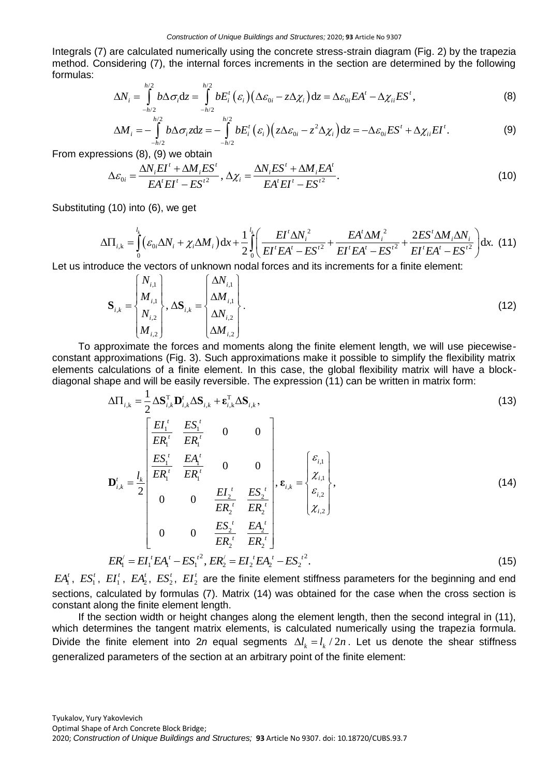Integrals (7) are calculated numerically using the concrete stress-strain diagram (Fig. 2) by the trapezia method. Considering (7), the internal forces increments in the section are determined by the following formulas:<br>  $\Delta N_i = \int_{-h/2}^{h/2} b \Delta \sigma_i dz = \int_{-h/2}^{h/2} b E_i^t (\varepsilon_i) (\Delta \varepsilon_{0i} - z \Delta \chi_i) dz = \Delta \varepsilon_{0i} E A^t - \Delta \chi_{ii} E S^t,$  (8) formulas: the calculated numerically using the concrete stress-strain diagram (Figure sidering (7), the internal forces increments in the section are determin<br>  $\Delta N_i = \int_{-h/2}^{h/2} b \Delta \sigma_i dz = \int_{-h/2}^{h/2} b E_i^t (\varepsilon_i) (\Delta \varepsilon_{0i} - z \Delta \chi_i) dz =$ 

$$
\Delta N_i = \int_{-h/2}^{h/2} b \Delta \sigma_i dz = \int_{-h/2}^{h/2} b E_i' \left( \varepsilon_i \right) \left( \Delta \varepsilon_{0i} - z \Delta \chi_i \right) dz = \Delta \varepsilon_{0i} E A' - \Delta \chi_{ii} E S', \tag{8}
$$

$$
\Delta N_i = \int_{-h/2}^{h/2} b \Delta \sigma_i dz = \int_{-h/2}^{h/2} b E_i^t (\varepsilon_i) (\Delta \varepsilon_{0i} - z \Delta \chi_i) dz = \Delta \varepsilon_{0i} E A^t - \Delta \chi_{ii} E S^t,
$$
\n(8)\n
$$
\Delta M_i = - \int_{-h/2}^{h/2} b \Delta \sigma_i z dz = - \int_{-h/2}^{h/2} b E_i^t (\varepsilon_i) (z \Delta \varepsilon_{0i} - z^2 \Delta \chi_i) dz = -\Delta \varepsilon_{0i} E S^t + \Delta \chi_{ii} E I^t.
$$
\n(9)

From expressions (8), (9) we obtain  
\n
$$
\Delta \varepsilon_{0i} = \frac{\Delta N_i E I^t + \Delta M_i E S^t}{E A^t E I^t - E S^{t^2}}, \Delta \chi_i = \frac{\Delta N_i E S^t + \Delta M_i E A^t}{E A^t E I^t - E S^{t^2}}.
$$
\n(10)

Substituting (10) into (6), we get

$$
\Delta \varepsilon_{0i} = \frac{\Delta N_i EI' + \Delta M_i ES'}{EA' EI' - ES'^2}, \Delta \chi_i = \frac{\Delta N_i ES' + \Delta M_i EA'}{EA' EI' - ES'^2}.
$$
\n(10)\n  
\ng (10) into (6), we get\n
$$
\Delta \Pi_{i,k} = \int_0^{l_k} \left( \varepsilon_{0i} \Delta N_i + \chi_i \Delta M_i \right) dx + \frac{1}{2} \int_0^{l} \left( \frac{EI' \Delta N_i^2}{EI' EA' - ES'^2} + \frac{EA' \Delta M_i^2}{EI' EA' - ES'^2} + \frac{2ES' \Delta M_i \Delta N_i}{EI' EA' - ES'^2} \right) dx.
$$
\n(11)\n  
\nvalue the vectors of unknown nodal forces and its increments for a finite element:

Let us introduce the vectors of unknown nodal forces and its increments for a finite element:

Since the vectors of unknown nodal forces and its increments for a finite element:

\n
$$
\mathbf{S}_{i,k} = \begin{Bmatrix} N_{i,1} \\ M_{i,1} \\ N_{i,2} \\ M_{i,2} \end{Bmatrix}, \Delta \mathbf{S}_{i,k} = \begin{Bmatrix} \Delta N_{i,1} \\ \Delta M_{i,1} \\ \Delta N_{i,2} \\ \Delta M_{i,2} \end{Bmatrix}.
$$
\n(12)

To approximate the forces and moments along the finite element length, we will use piecewiseconstant approximations (Fig. 3). Such approximations make it possible to simplify the flexibility matrix elements calculations of a finite element. In this case, the global flexibility matrix will have a block-

diagonal shape and will be easily reversible. The expression (11) can be written in matrix form:  
\n
$$
\Delta\Pi_{i,k} = \frac{1}{2} \Delta \mathbf{S}_{i,k}^{\mathrm{T}} \mathbf{D}_{i,k}' \Delta \mathbf{S}_{i,k} + \epsilon_{i,k}^{\mathrm{T}} \Delta \mathbf{S}_{i,k},
$$
\n(13)  
\n
$$
\mathbf{E} \mathbf{I}_{1}^{\mathrm{T}} = \frac{E \mathbf{S}_{1}^{\mathrm{T}}}{E \mathbf{R}_{1}^{\mathrm{T}}} = \frac{E \mathbf{S}_{1}^{\mathrm{T}}}{E \mathbf{R}_{1}^{\mathrm{T}}} = \mathbf{0} \quad \mathbf{0}
$$
\n
$$
\mathbf{D}_{i,k}^{\mathrm{T}} = \frac{l_{k}}{2} \begin{bmatrix} \frac{E \mathbf{S}_{1}^{\mathrm{T}}}{E \mathbf{R}_{1}^{\mathrm{T}}} & \frac{E \mathbf{A}_{1}^{\mathrm{T}}}{E \mathbf{R}_{1}^{\mathrm{T}}} & \mathbf{0} & \mathbf{0} \\ \frac{E \mathbf{S}_{1}^{\mathrm{T}}}{E \mathbf{R}_{1}^{\mathrm{T}}} & \frac{E \mathbf{S}_{2}^{\mathrm{T}}}{E \mathbf{R}_{2}^{\mathrm{T}}} & \frac{E \mathbf{S}_{2}^{\mathrm{T}}}{E \mathbf{R}_{2}^{\mathrm{T}}} \\ \mathbf{0} & \mathbf{0} & \frac{E \mathbf{S}_{2}^{\mathrm{T}}}{E \mathbf{R}_{2}^{\mathrm{T}}} & \frac{E \mathbf{A}_{2}^{\mathrm{T}}}{E \mathbf{R}_{2}^{\mathrm{T}}} \end{bmatrix}, \epsilon_{i,k} = \begin{bmatrix} \epsilon_{i,1} \\ \epsilon_{i,2} \\ \epsilon_{i,2} \\ \epsilon_{i,3} \end{bmatrix},
$$
\n(14)  
\n
$$
E \mathbf{R}_{1}^{\mathrm{T}} = E \mathbf{I}_{1}^{\mathrm{T}} E \mathbf{A}_{1}^{\mathrm{T}} - E \mathbf{S}_{1}^{\mathrm{T^{2}}}, E \mathbf{R}_{2}^{\mathrm{T}} = E \mathbf{I}_{2}^{\mathrm{T}} E \mathbf{A}_{2}^{\mathrm{T}} - E \mathbf{S}_{2}^{\mathrm{T^{2}}}. \tag{15}
$$

 $EA^t_i$ ,  $ES^t_i$ ,  $EI^t_i$ ,  $EA^t_2$ ,  $ES^t_2$ ,  $EI^t_2$  are the finite element stiffness parameters for the beginning and end sections, calculated by formulas (7). Matrix (14) was obtained for the case when the cross section is constant along the finite element length.

If the section width or height changes along the element length, then the second integral in (11), which determines the tangent matrix elements, is calculated numerically using the trapezia formula. Divide the finite element into 2n equal segments  $\Delta l_k = l_k / 2n$ . Let us denote the shear stiffness generalized parameters of the section at an arbitrary point of the finite element: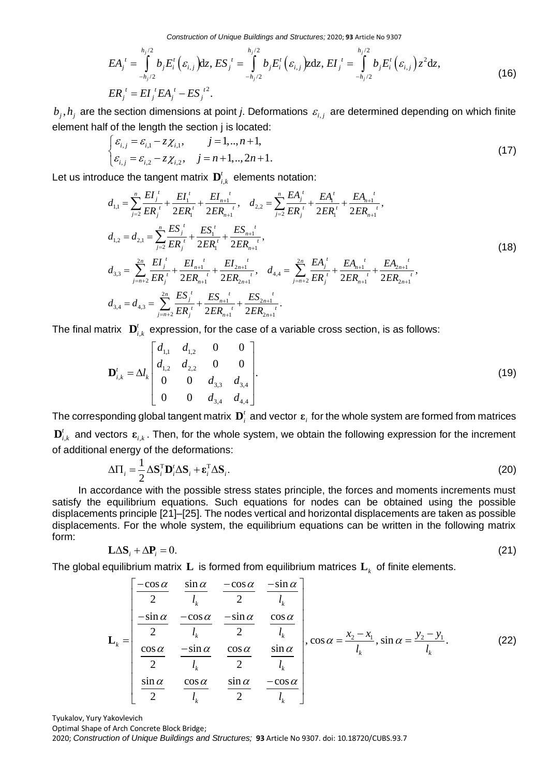*Construction of Unique Buildings and Structures;* 2020; **93** Article No 9307

Construction of Unique Buildings and Structures; 2020; 93 Article No 9307  
\n
$$
EA_j^t = \int_{-h_j/2}^{h_j/2} b_j E_i^t \left(\varepsilon_{i,j}\right) dz, ES_j^t = \int_{-h_j/2}^{h_j/2} b_j E_i^t \left(\varepsilon_{i,j}\right) Z dz, EI_j^t = \int_{-h_j/2}^{h_j/2} b_j E_i^t \left(\varepsilon_{i,j}\right) z^2 dz,
$$
\n(16)  
\n
$$
ER_j^t = EI_j^t EA_j^t - ES_j^{t^2}.
$$

 $b_j$ ,  $h_j$  are the section dimensions at point *j*. Deformations  $\varepsilon_{i,j}$  are determined depending on which finite

element half of the length the section j is located:  
\n
$$
\begin{cases}\n\varepsilon_{i,j} = \varepsilon_{i,1} - z\chi_{i,1}, & j = 1,..,n+1, \\
\varepsilon_{i,j} = \varepsilon_{i,2} - z\chi_{i,2}, & j = n+1,..,2n+1.\n\end{cases}
$$
\n(17)

Let us introduce the tangent matrix 
$$
\mathbf{D}'_{i,1}
$$
 =  $\mathbf{D}'_{i,2}$  =  $\mathbf{D}'_{i,1}$  =  $\mathbf{D}'_{i,2}$ ,  $j = n+1, ..., 2n+1$ .  
\nLet us introduce the tangent matrix  $\mathbf{D}'_{i,k}$  elements notation:  
\n
$$
d_{1,1} = \sum_{j=2}^{n} \frac{EI_j^t}{ER_j^t} + \frac{EI_1^t}{2ER_1^t} + \frac{EI_{n+1}^t}{2ER_{n+1}^t}, d_{2,2} = \sum_{j=2}^{n} \frac{EA_j^t}{ER_j^t} + \frac{EA_1^t}{2ER_1^t} + \frac{EA_{n+1}^t}{2ER_{n+1}^t},
$$
\n
$$
d_{1,2} = d_{2,1} = \sum_{j=2}^{n} \frac{ES_j^t}{ER_j^t} + \frac{ES_1^t}{2ER_1^t} + \frac{ES_{n+1}^t}{2ER_{n+1}^t},
$$
\n
$$
d_{3,3} = \sum_{j=n+2}^{2n} \frac{EI_j^t}{ER_j^t} + \frac{EI_{n+1}^t}{2ER_{n+1}^t} + \frac{EI_{2n+1}^t}{2ER_{2n+1}^t}, d_{4,4} = \sum_{j=n+2}^{2n} \frac{EA_j^t}{ER_j^t} + \frac{EA_{n+1}^t}{2ER_{n+1}^t} + \frac{EA_{2n+1}^t}{2ER_{2n+1}^t}.
$$
\n(18)

The final matrix 
$$
\mathbf{D}_{i,k}^t
$$
 expression, for the case of a variable cross section, is as follows:  
\n
$$
\mathbf{D}_{i,k}^t = \Delta l_k \begin{bmatrix} d_{1,1} & d_{1,2} & 0 & 0 \\ d_{1,2} & d_{2,2} & 0 & 0 \\ 0 & 0 & d_{3,3} & d_{3,4} \\ 0 & 0 & d_{3,4} & d_{4,4} \end{bmatrix}.
$$
\n(19)

The corresponding global tangent matrix  $\mathbf{D}_i^t$  and vector  $\mathbf{\varepsilon}_i$  for the whole system are formed from matrices  $\mathbf{D}_{i,k}^t$  and vectors  $\boldsymbol{\varepsilon}_{i,k}$ . Then, for the whole system, we obtain the following expression for the increment of additional energy of the deformations:

$$
\Delta \Pi_i = \frac{1}{2} \Delta \mathbf{S}_i^{\mathrm{T}} \mathbf{D}_i^t \Delta \mathbf{S}_i + \boldsymbol{\varepsilon}_i^{\mathrm{T}} \Delta \mathbf{S}_i.
$$
 (20)

In accordance with the possible stress states principle, the forces and moments increments must satisfy the equilibrium equations. Such equations for nodes can be obtained using the possible displacements principle [21]–[25]. The nodes vertical and horizontal displacements are taken as possible displacements. For the whole system, the equilibrium equations can be written in the following matrix form:

$$
\mathbf{L}\Delta\mathbf{S}_i + \Delta\mathbf{P}_i = 0. \tag{21}
$$

The global equilibrium matrix  $\mathbf{L}$  is formed from equilibrium matrices  $\mathbf{L}_k$  of finite elements.

$$
\mathbf{L}\Delta\mathbf{S}_{i} + \Delta\mathbf{P}_{i} = 0.
$$
\nequilibrium matrix **L** is formed from equilibrium matrices **L**<sub>k</sub> of finite elements.

\n
$$
\begin{bmatrix}\n-\cos\alpha & \sin\alpha & -\cos\alpha & -\sin\alpha \\
\frac{-\sin\alpha}{2} & \frac{-\cos\alpha}{l_{k}} & \frac{-\sin\alpha}{2} & \frac{\cos\alpha}{l_{k}} \\
\frac{-\sin\alpha}{2} & \frac{-\sin\alpha}{l_{k}} & \frac{\cos\alpha}{2} & \frac{\sin\alpha}{l_{k}} \\
\frac{\cos\alpha}{2} & \frac{-\sin\alpha}{l_{k}} & \frac{\cos\alpha}{2} & \frac{\sin\alpha}{l_{k}}\n\end{bmatrix}, \cos\alpha = \frac{x_{2} - x_{1}}{l_{k}}, \sin\alpha = \frac{y_{2} - y_{1}}{l_{k}}.
$$
\n(22)\n
$$
\begin{bmatrix}\n\frac{\sin\alpha}{2} & \frac{\cos\alpha}{l_{k}} & \frac{\sin\alpha}{2} & \frac{-\cos\alpha}{l_{k}}\n\end{bmatrix}
$$

Tyukalov, Yury Yakovlevich Optimal Shape of Arch Concrete Block Bridge; 2020; *Construction of Unique Buildings and Structures;* **93** Article No 9307. doi: 10.18720/CUBS.93.7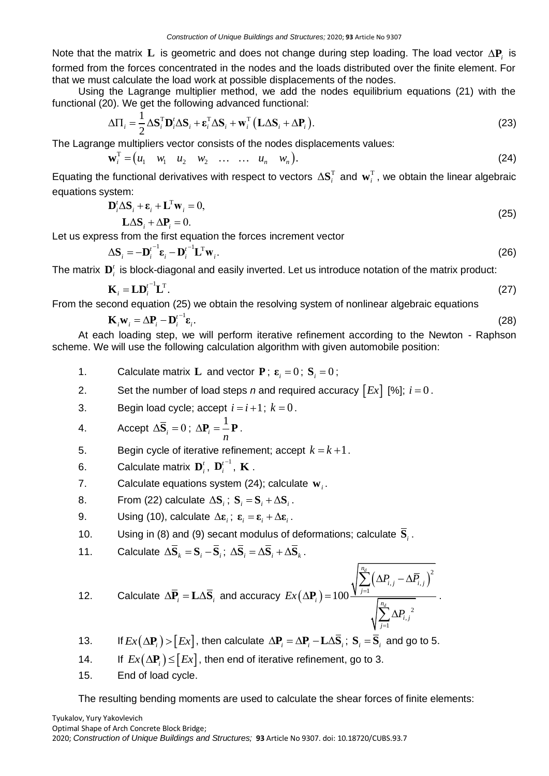Note that the matrix L is geometric and does not change during step loading. The load vector  $\Delta P_i$  is formed from the forces concentrated in the nodes and the loads distributed over the finite element. For that we must calculate the load work at possible displacements of the nodes.

Using the Lagrange multiplier method, we add the nodes equilibrium equations (21) with the

functional (20). We get the following advanced functional:  
\n
$$
\Delta \Pi_i = \frac{1}{2} \Delta \mathbf{S}_i^{\mathrm{T}} \mathbf{D}_i^{\mathrm{T}} \Delta \mathbf{S}_i + \mathbf{\varepsilon}_i^{\mathrm{T}} \Delta \mathbf{S}_i + \mathbf{w}_i^{\mathrm{T}} (\mathbf{L} \Delta \mathbf{S}_i + \Delta \mathbf{P}_i).
$$
\n(23)

The Lagrange multipliers vector consists of the nodes displacements values:<br>  $\mathbf{w}_i^{\mathrm{T}} = (u_1 \quad w_1 \quad u_2 \quad w_2 \quad \dots \quad w_n \quad w_n).$ 

$$
\mathbf{w}_i^{\mathrm{T}} = (u_1 \quad w_1 \quad u_2 \quad w_2 \quad \dots \quad w_n \quad w_n).
$$
 (24)

Equating the functional derivatives with respect to vectors  $\Delta S_i^T$  and  $w_i^T$ , we obtain the linear algebraic equations system:

$$
\mathbf{D}_i^t \Delta \mathbf{S}_i + \mathbf{\varepsilon}_i + \mathbf{L}^{\mathrm{T}} \mathbf{w}_i = 0, \tag{25}
$$

 $\mathbf{L}\Delta\mathbf{S}_i + \Delta\mathbf{P}_i = 0.$ 

Let us express from the first equation the forces increment vector

$$
\Delta \mathbf{S}_{i} = -\mathbf{D}_{i}^{t-1} \mathbf{\varepsilon}_{i} - \mathbf{D}_{i}^{t-1} \mathbf{L}^{\mathrm{T}} \mathbf{w}_{i}.
$$
 (26)

(28)

The matrix  $\mathbf{D}_i^t$  is block-diagonal and easily inverted. Let us introduce notation of the matrix product:

$$
\mathbf{K}_{i} = \mathbf{L} \mathbf{D}_{i}^{t-1} \mathbf{L}^{\mathrm{T}}.
$$
 (27)

From the second equation (25) we obtain the resolving system of nonlinear algebraic equations

$$
\mathbf{K}_i \mathbf{w}_i = \Delta \mathbf{P}_i - \mathbf{D}_i^{t-1} \mathbf{\varepsilon}_i.
$$

At each loading step, we will perform iterative refinement according to the Newton - Raphson scheme. We will use the following calculation algorithm with given automobile position:

- 1. Calculate matrix **L** and vector **P**;  $\boldsymbol{\epsilon}_i = 0$ ; **S**<sub>*i*</sub> = 0;
- 2. Set the number of load steps *n* and required accuracy  $\lceil Ex \rceil$  [%];  $i = 0$ .
- 3. Begin load cycle; accept  $i = i + 1$ ;  $k = 0$ .

4. Accept 
$$
\Delta \overline{S}_i = 0
$$
;  $\Delta P_i = \frac{1}{n} P$ .

- 5. Begin cycle of iterative refinement; accept  $k = k + 1$ .
- 6. Calculate matrix  $\mathbf{D}_i^t$ ,  $\mathbf{D}_i^{t^{-1}}$ *i*  ${\mathbf D}_i^{t^{-1}} , \; {\mathbf K}$  .
- 7. Calculate equations system (24); calculate **w***i* .
- 8. From (22) calculate  $\Delta S_i$ ;  $S_i = S_i + \Delta S_i$ .
- 9. Using (10), calculate  $\Delta \varepsilon_i$ ;  $\varepsilon_i = \varepsilon_i + \Delta \varepsilon_i$ .
- 10. Using in (8) and (9) secant modulus of deformations; calculate **S***i* .
- 11. Calculate  $\Delta \overline{S}_k = S_i \overline{S}_i$ ;  $\Delta \overline{S}_i = \Delta \overline{S}_i + \Delta \overline{S}_k$ .

12. Calculate 
$$
\Delta \overline{P}_i = L \Delta \overline{S}_i
$$
 and accuracy  $Ex(\Delta P_i) = 100 \frac{\sqrt{\sum_{j=1}^{n_d} (\Delta P_{i,j} - \Delta P_{i,j})^2}}{\sqrt{\sum_{j=1}^{n_d} \Delta P_{i,j}^2}}$ .

13. If 
$$
Ex(\Delta P_i) > [Ex]
$$
, then calculate  $\Delta P_i = \Delta P_i - L \Delta \overline{S}_i$ ;  $S_i = \overline{S}_i$  and go to 5.

 $14.$ If  $Ex(\Delta P) \leq E_x$ , then end of iterative refinement, go to 3.

15. End of load cycle.

The resulting bending moments are used to calculate the shear forces of finite elements: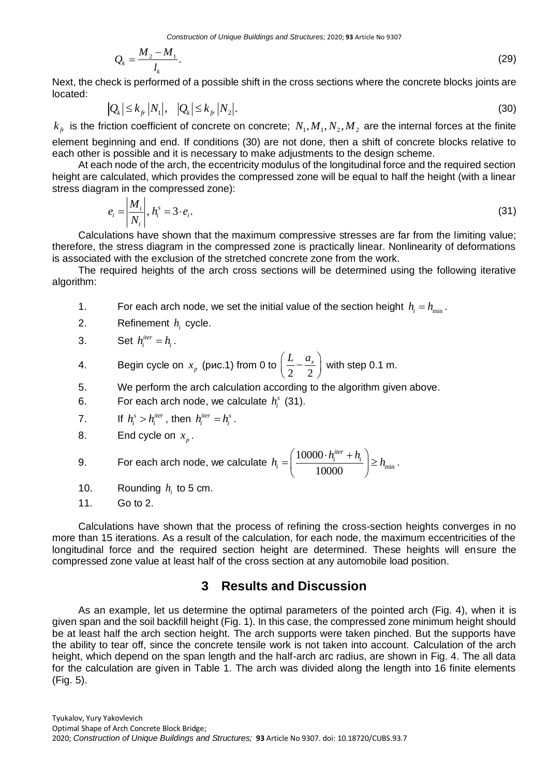$$
Q_k = \frac{M_2 - M_1}{l_k}.\tag{29}
$$

Next, the check is performed of a possible shift in the cross sections where the concrete blocks joints are located:

$$
|Q_k| \le k_{f_r} |N_1|, \quad |Q_k| \le k_{f_r} |N_2|.
$$
\n(30)

 $k_{f}$  is the friction coefficient of concrete on concrete;  $N_1,M_1,N_2,M_2$  are the internal forces at the finite element beginning and end. If conditions (30) are not done, then a shift of concrete blocks relative to each other is possible and it is necessary to make adjustments to the design scheme.

At each node of the arch, the eccentricity modulus of the longitudinal force and the required section height are calculated, which provides the compressed zone will be equal to half the height (with a linear stress diagram in the compressed zone):

$$
e_i = \left| \frac{M_i}{N_i} \right|, h_i^s = 3 \cdot e_i. \tag{31}
$$

Calculations have shown that the maximum compressive stresses are far from the limiting value; therefore, the stress diagram in the compressed zone is practically linear. Nonlinearity of deformations is associated with the exclusion of the stretched concrete zone from the work.

The required heights of the arch cross sections will be determined using the following iterative algorithm:

- 1. For each arch node, we set the initial value of the section height  $h_i = h_{min}$ .
- 2. Refinement *i h* cycle.

3. Set 
$$
h_i^{iter} = h_i
$$
.

4. Begin cycle on  $x_p$  (рис.1) from 0 to 2 2  $\left(\frac{L}{2} - \frac{a_x}{2}\right)$  with step 0.1 m.

- 5. We perform the arch calculation according to the algorithm given above.
- 6. For each arch node, we calculate  $h_i^s$  (31).
- $\overline{7}$ .  $h_i^s > h_i^{iter}$ , then  $h_i^{iter} = h_i^s$ .
- 8. End cycle on  $x_p$ .

9. For each arch node, we calculate 
$$
h_i = \left(\frac{10000 \cdot h_i^{iter} + h_i}{10000}\right) \geq h_{\min}
$$
.

- 10. Rounding  $h_i$  to 5 cm.
- 11. Go to 2.

Calculations have shown that the process of refining the cross-section heights converges in no more than 15 iterations. As a result of the calculation, for each node, the maximum eccentricities of the longitudinal force and the required section height are determined. These heights will ensure the compressed zone value at least half of the cross section at any automobile load position.

## **3 Results and Discussion**

2020; *Construction of Unique Buildings and Structures;* **93** Article No 9307. doi: 10.18720/CUBS.93.7 2 1 As an example, let us determine the optimal parameters of the pointed arch (Fig. 4), when it is given span and the soil backfill height (Fig. 1). In this case, the compressed zone minimum height should be at least half the arch section height. The arch supports were taken pinched. But the supports have the ability to tear off, since the concrete tensile work is not taken into account. Calculation of the arch height, which depend on the span length and the half-arch arc radius, are shown in Fig. 4. The all data for the calculation are given in Table 1. The arch was divided along the length into 16 finite elements (Fig. 5).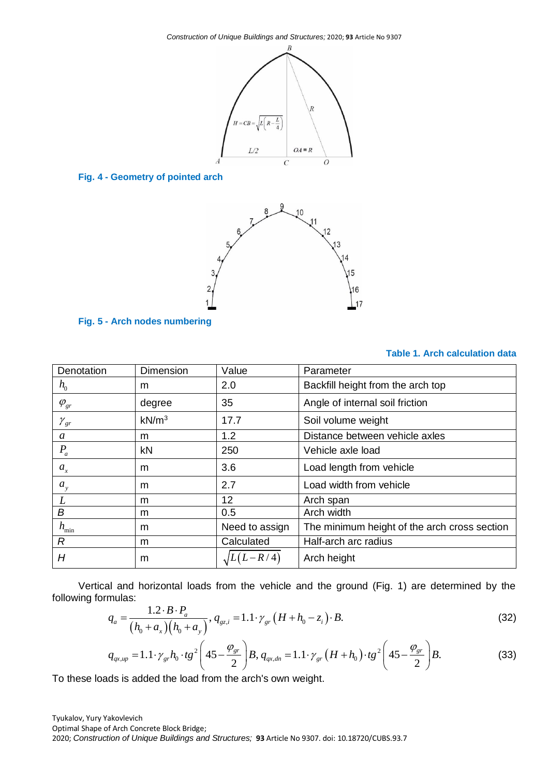

## **Fig. 4 - Geometry of pointed arch**



**Fig. 5 - Arch nodes numbering**

## **Table 1. Arch calculation data**

| Denotation         | Dimension         | Value             | Parameter                                    |  |  |
|--------------------|-------------------|-------------------|----------------------------------------------|--|--|
| $h_{0}$            | m                 | 2.0               | Backfill height from the arch top            |  |  |
| $\varphi_{\rm gr}$ | degree            | 35                | Angle of internal soil friction              |  |  |
| $\gamma_{gr}$      | kN/m <sup>3</sup> | 17.7              | Soil volume weight                           |  |  |
| a                  | m                 | 1.2               | Distance between vehicle axles               |  |  |
| $P_a$              | kN                | 250               | Vehicle axle load                            |  |  |
| $a_{x}$            | m                 | 3.6               | Load length from vehicle                     |  |  |
| $a_{v}$            | m                 | 2.7               | Load width from vehicle                      |  |  |
|                    | m                 | 12                | Arch span                                    |  |  |
| В                  | m                 | 0.5               | Arch width                                   |  |  |
| $h_{\min}$         | m                 | Need to assign    | The minimum height of the arch cross section |  |  |
| R                  | m                 | Calculated        | Half-arch arc radius                         |  |  |
| H                  | m                 | $\sqrt{L(L-R/4)}$ | Arch height                                  |  |  |

Vertical and horizontal loads from the vehicle and the ground (Fig. 1) are determined by the ing formulas:<br>  $q_a = \frac{1.2 \cdot B \cdot P_a}{(h + a)(h + a)}, q_{gzi} = 1.1 \cdot \gamma_{gr} (H + h_0 - z_i) \cdot B.$  (32) following formulas:

mulas:  
\n
$$
q_a = \frac{1.2 \cdot B \cdot P_a}{(h_0 + a_x)(h_0 + a_y)}, q_{gz,i} = 1.1 \cdot \gamma_{gr} (H + h_0 - z_i) \cdot B.
$$
\n(32)  
\n
$$
q_{axup} = 1.1 \cdot \gamma_{gr} h_0 \cdot tg^2 \left( 45 - \frac{\varphi_{gr}}{2} \right) B, q_{ax,dn} = 1.1 \cdot \gamma_{gr} (H + h_0) \cdot tg^2 \left( 45 - \frac{\varphi_{gr}}{2} \right) B.
$$
\n(33)

$$
q_{a} = \frac{1.2 \cdot B \cdot I_{a}}{(h_{0} + a_{x})(h_{0} + a_{y})}, q_{gz,i} = 1.1 \cdot \gamma_{gr} (H + h_{0} - z_{i}) \cdot B.
$$
\n
$$
q_{gx,up} = 1.1 \cdot \gamma_{gr} h_{0} \cdot tg^{2} \left( 45 - \frac{\varphi_{gr}}{2} \right) B, q_{qx,dn} = 1.1 \cdot \gamma_{gr} (H + h_{0}) \cdot tg^{2} \left( 45 - \frac{\varphi_{gr}}{2} \right) B.
$$
\n(33)

To these loads is added the load from the arch's own weight.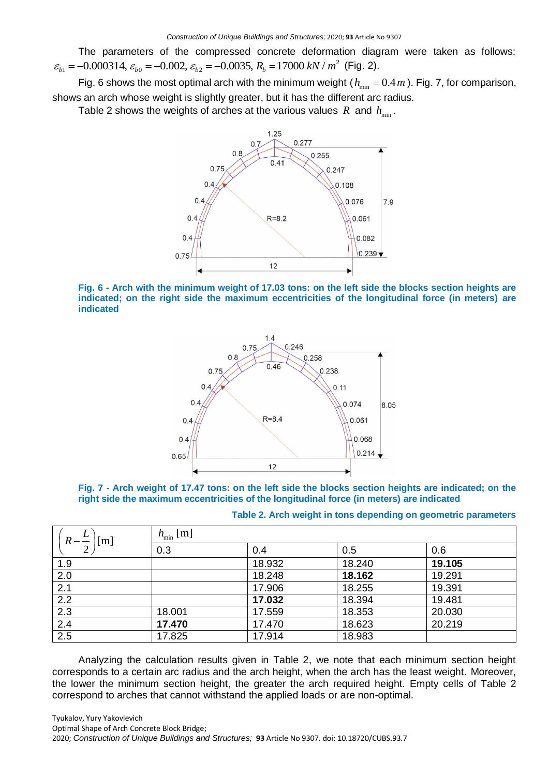The parameters of the compressed concrete deformation diagram were taken as follows: 2 1 0 2 0.000314, 0.002, 0.0035, 17000 / *b b b b* = − = − = − = *R kN m* (Fig. 2).

Fig. 6 shows the most optimal arch with the minimum weight ( $h_{\min} = 0.4 \, m$ ). Fig. 7, for comparison, shows an arch whose weight is slightly greater, but it has the different arc radius.

Table 2 shows the weights of arches at the various values  $R$  and  $h_{\min}^{\phantom{\dag}}$ .



**Fig. 6 - Arch with the minimum weight of 17.03 tons: on the left side the blocks section heights are indicated; on the right side the maximum eccentricities of the longitudinal force (in meters) are indicated**





| Table 2. Arch weight in tons depending on geometric parameters |  |  |
|----------------------------------------------------------------|--|--|
|----------------------------------------------------------------|--|--|

| $R-\frac{L}{A}$<br>$\lceil m \rceil$ | $h_{\min}$ [m] |        |        |        |  |  |
|--------------------------------------|----------------|--------|--------|--------|--|--|
|                                      | 0.3            | 0.4    | 0.5    | 0.6    |  |  |
| 1.9                                  |                | 18.932 | 18.240 | 19.105 |  |  |
| 2.0                                  |                | 18.248 | 18.162 | 19.291 |  |  |
| 2.1                                  |                | 17.906 | 18.255 | 19.391 |  |  |
| $\overline{2.2}$                     |                | 17.032 | 18.394 | 19.481 |  |  |
| $\overline{2.3}$                     | 18.001         | 17.559 | 18.353 | 20.030 |  |  |
| 2.4                                  | 17.470         | 17.470 | 18.623 | 20.219 |  |  |
| 2.5                                  | 17.825         | 17.914 | 18.983 |        |  |  |

Analyzing the calculation results given in Table 2, we note that each minimum section height corresponds to a certain arc radius and the arch height, when the arch has the least weight. Moreover, the lower the minimum section height, the greater the arch required height. Empty cells of Table 2 correspond to arches that cannot withstand the applied loads or are non-optimal.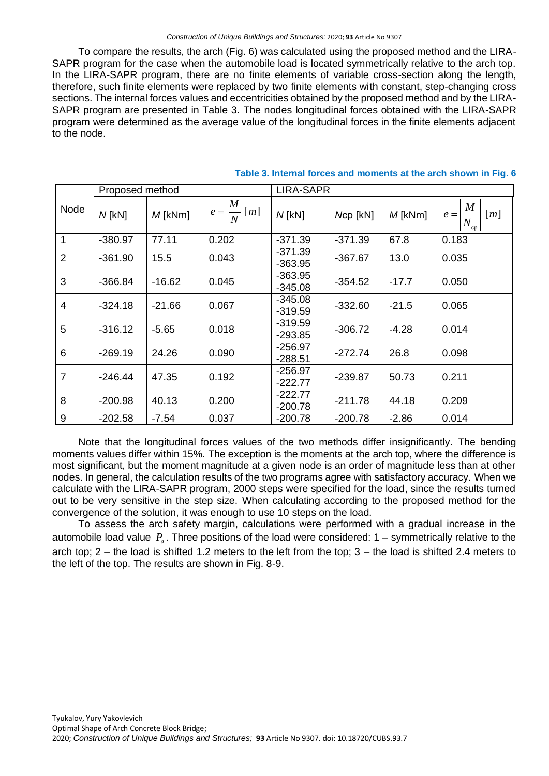#### *Construction of Unique Buildings and Structures;* 2020; **93** Article No 9307

To compare the results, the arch (Fig. 6) was calculated using the proposed method and the LIRA-SAPR program for the case when the automobile load is located symmetrically relative to the arch top. In the LIRA-SAPR program, there are no finite elements of variable cross-section along the length, therefore, such finite elements were replaced by two finite elements with constant, step-changing cross sections. The internal forces values and eccentricities obtained by the proposed method and by the LIRA-SAPR program are presented in Table 3. The nodes longitudinal forces obtained with the LIRA-SAPR program were determined as the average value of the longitudinal forces in the finite elements adjacent to the node.

|                | Proposed method |           |                                                    | <b>LIRA-SAPR</b>       |           |           |                                                |
|----------------|-----------------|-----------|----------------------------------------------------|------------------------|-----------|-----------|------------------------------------------------|
| Node           | $N$ [kN]        | $M$ [kNm] | $\boldsymbol{M}$<br>[m]<br>$e =$<br>$\overline{N}$ | $N$ [kN]               | Ncp [kN]  | $M$ [kNm] | $\boldsymbol{M}$<br>[m]<br>$e =$<br>$N_{cp_1}$ |
| 1              | $-380.97$       | 77.11     | 0.202                                              | $-371.39$              | $-371.39$ | 67.8      | 0.183                                          |
| $\overline{2}$ | $-361.90$       | 15.5      | 0.043                                              | $-371.39$<br>$-363.95$ | $-367.67$ | 13.0      | 0.035                                          |
| 3              | $-366.84$       | $-16.62$  | 0.045                                              | $-363.95$<br>$-345.08$ | $-354.52$ | $-17.7$   | 0.050                                          |
| 4              | $-324.18$       | $-21.66$  | 0.067                                              | $-345.08$<br>$-319.59$ | $-332.60$ | $-21.5$   | 0.065                                          |
| 5              | $-316.12$       | $-5.65$   | 0.018                                              | -319.59<br>$-293.85$   | $-306.72$ | $-4.28$   | 0.014                                          |
| 6              | $-269.19$       | 24.26     | 0.090                                              | $-256.97$<br>$-288.51$ | $-272.74$ | 26.8      | 0.098                                          |
| $\overline{7}$ | $-246.44$       | 47.35     | 0.192                                              | $-256.97$<br>$-222.77$ | $-239.87$ | 50.73     | 0.211                                          |
| 8              | $-200.98$       | 40.13     | 0.200                                              | -222.77<br>$-200.78$   | $-211.78$ | 44.18     | 0.209                                          |
| 9              | $-202.58$       | $-7.54$   | 0.037                                              | $-200.78$              | $-200.78$ | $-2.86$   | 0.014                                          |

#### **Table 3. Internal forces and moments at the arch shown in Fig. 6**

Note that the longitudinal forces values of the two methods differ insignificantly. The bending moments values differ within 15%. The exception is the moments at the arch top, where the difference is most significant, but the moment magnitude at a given node is an order of magnitude less than at other nodes. In general, the calculation results of the two programs agree with satisfactory accuracy. When we calculate with the LIRA-SAPR program, 2000 steps were specified for the load, since the results turned out to be very sensitive in the step size. When calculating according to the proposed method for the convergence of the solution, it was enough to use 10 steps on the load.

To assess the arch safety margin, calculations were performed with a gradual increase in the automobile load value  $P_a$ . Three positions of the load were considered: 1 – symmetrically relative to the arch top; 2 – the load is shifted 1.2 meters to the left from the top; 3 – the load is shifted 2.4 meters to the left of the top. The results are shown in Fig. 8-9.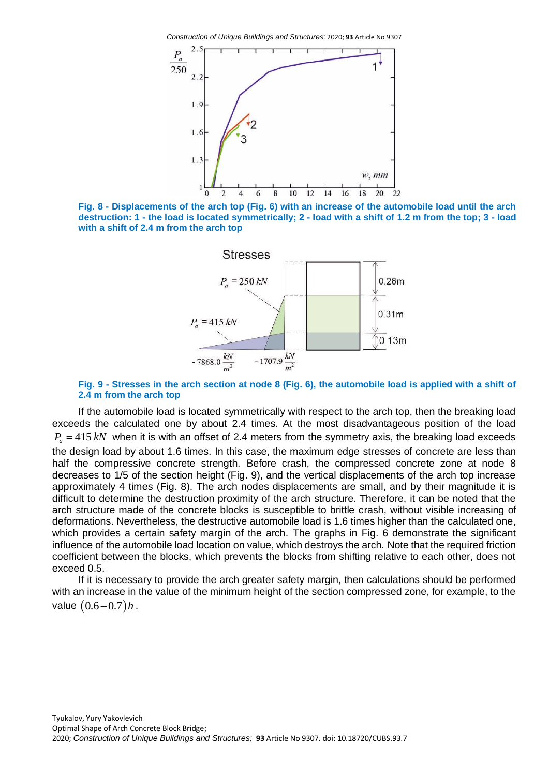*Construction of Unique Buildings and Structures;* 2020; **93** Article No 9307







#### **Fig. 9 - Stresses in the arch section at node 8 (Fig. 6), the automobile load is applied with a shift of 2.4 m from the arch top**

If the automobile load is located symmetrically with respect to the arch top, then the breaking load exceeds the calculated one by about 2.4 times. At the most disadvantageous position of the load  $P_a = 415 kN$  when it is with an offset of 2.4 meters from the symmetry axis, the breaking load exceeds the design load by about 1.6 times. In this case, the maximum edge stresses of concrete are less than half the compressive concrete strength. Before crash, the compressed concrete zone at node 8 decreases to 1/5 of the section height (Fig. 9), and the vertical displacements of the arch top increase approximately 4 times (Fig. 8). The arch nodes displacements are small, and by their magnitude it is difficult to determine the destruction proximity of the arch structure. Therefore, it can be noted that the arch structure made of the concrete blocks is susceptible to brittle crash, without visible increasing of deformations. Nevertheless, the destructive automobile load is 1.6 times higher than the calculated one, which provides a certain safety margin of the arch. The graphs in Fig. 6 demonstrate the significant influence of the automobile load location on value, which destroys the arch. Note that the required friction coefficient between the blocks, which prevents the blocks from shifting relative to each other, does not exceed 0.5.

If it is necessary to provide the arch greater safety margin, then calculations should be performed with an increase in the value of the minimum height of the section compressed zone, for example, to the value  $(0.6 - 0.7)h$ .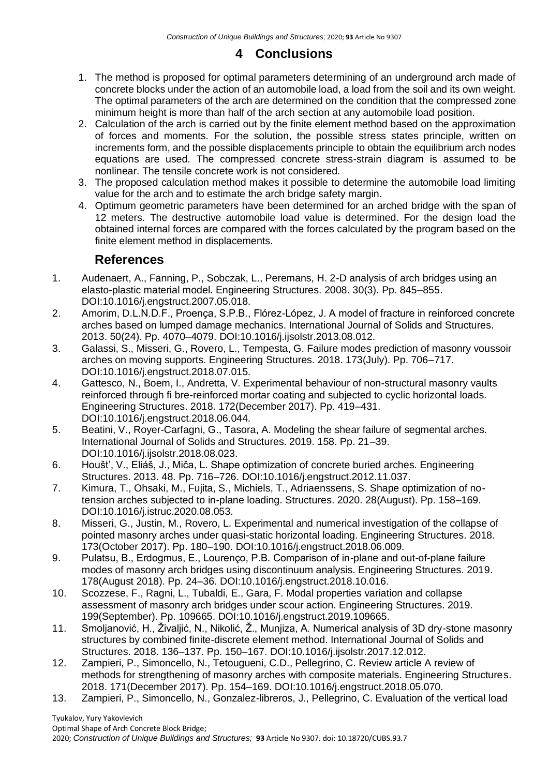# **4 Conclusions**

- 1. The method is proposed for optimal parameters determining of an underground arch made of concrete blocks under the action of an automobile load, a load from the soil and its own weight. The optimal parameters of the arch are determined on the condition that the compressed zone minimum height is more than half of the arch section at any automobile load position.
- 2. Calculation of the arch is carried out by the finite element method based on the approximation of forces and moments. For the solution, the possible stress states principle, written on increments form, and the possible displacements principle to obtain the equilibrium arch nodes equations are used. The compressed concrete stress-strain diagram is assumed to be nonlinear. The tensile concrete work is not considered.
- 3. The proposed calculation method makes it possible to determine the automobile load limiting value for the arch and to estimate the arch bridge safety margin.
- 4. Optimum geometric parameters have been determined for an arched bridge with the span of 12 meters. The destructive automobile load value is determined. For the design load the obtained internal forces are compared with the forces calculated by the program based on the finite element method in displacements.

# **References**

- 1. Audenaert, A., Fanning, P., Sobczak, L., Peremans, H. 2-D analysis of arch bridges using an elasto-plastic material model. Engineering Structures. 2008. 30(3). Pp. 845–855. DOI:10.1016/j.engstruct.2007.05.018.
- 2. Amorim, D.L.N.D.F., Proença, S.P.B., Flórez-López, J. A model of fracture in reinforced concrete arches based on lumped damage mechanics. International Journal of Solids and Structures. 2013. 50(24). Pp. 4070–4079. DOI:10.1016/j.ijsolstr.2013.08.012.
- 3. Galassi, S., Misseri, G., Rovero, L., Tempesta, G. Failure modes prediction of masonry voussoir arches on moving supports. Engineering Structures. 2018. 173(July). Pp. 706–717. DOI:10.1016/j.engstruct.2018.07.015.
- 4. Gattesco, N., Boem, I., Andretta, V. Experimental behaviour of non-structural masonry vaults reinforced through fi bre-reinforced mortar coating and subjected to cyclic horizontal loads. Engineering Structures. 2018. 172(December 2017). Pp. 419–431. DOI:10.1016/j.engstruct.2018.06.044.
- 5. Beatini, V., Royer-Carfagni, G., Tasora, A. Modeling the shear failure of segmental arches. International Journal of Solids and Structures. 2019. 158. Pp. 21–39. DOI:10.1016/j.ijsolstr.2018.08.023.
- 6. Houšt', V., Eliáš, J., Miča, L. Shape optimization of concrete buried arches. Engineering Structures. 2013. 48. Pp. 716–726. DOI:10.1016/j.engstruct.2012.11.037.
- 7. Kimura, T., Ohsaki, M., Fujita, S., Michiels, T., Adriaenssens, S. Shape optimization of notension arches subjected to in-plane loading. Structures. 2020. 28(August). Pp. 158–169. DOI:10.1016/j.istruc.2020.08.053.
- 8. Misseri, G., Justin, M., Rovero, L. Experimental and numerical investigation of the collapse of pointed masonry arches under quasi-static horizontal loading. Engineering Structures. 2018. 173(October 2017). Pp. 180–190. DOI:10.1016/j.engstruct.2018.06.009.
- 9. Pulatsu, B., Erdogmus, E., Lourenço, P.B. Comparison of in-plane and out-of-plane failure modes of masonry arch bridges using discontinuum analysis. Engineering Structures. 2019. 178(August 2018). Pp. 24–36. DOI:10.1016/j.engstruct.2018.10.016.
- 10. Scozzese, F., Ragni, L., Tubaldi, E., Gara, F. Modal properties variation and collapse assessment of masonry arch bridges under scour action. Engineering Structures. 2019. 199(September). Pp. 109665. DOI:10.1016/j.engstruct.2019.109665.
- 11. Smoljanović, H., Živaljić, N., Nikolić, Ž., Munjiza, A. Numerical analysis of 3D dry-stone masonry structures by combined finite-discrete element method. International Journal of Solids and Structures. 2018. 136–137. Pp. 150–167. DOI:10.1016/j.ijsolstr.2017.12.012.
- 12. Zampieri, P., Simoncello, N., Tetougueni, C.D., Pellegrino, C. Review article A review of methods for strengthening of masonry arches with composite materials. Engineering Structures. 2018. 171(December 2017). Pp. 154–169. DOI:10.1016/j.engstruct.2018.05.070.
- 13. Zampieri, P., Simoncello, N., Gonzalez-libreros, J., Pellegrino, C. Evaluation of the vertical load